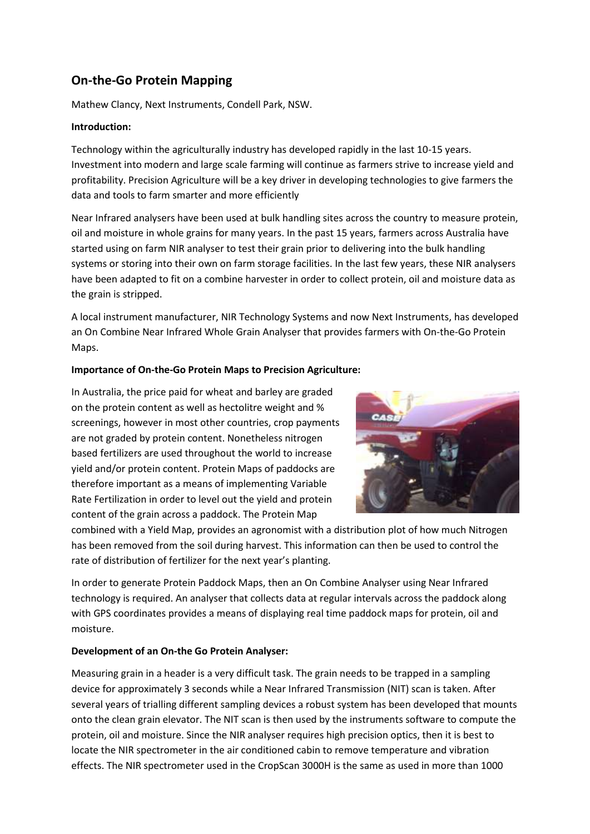# **On-the-Go Protein Mapping**

Mathew Clancy, Next Instruments, Condell Park, NSW.

#### **Introduction:**

Technology within the agriculturally industry has developed rapidly in the last 10-15 years. Investment into modern and large scale farming will continue as farmers strive to increase yield and profitability. Precision Agriculture will be a key driver in developing technologies to give farmers the data and tools to farm smarter and more efficiently

Near Infrared analysers have been used at bulk handling sites across the country to measure protein, oil and moisture in whole grains for many years. In the past 15 years, farmers across Australia have started using on farm NIR analyser to test their grain prior to delivering into the bulk handling systems or storing into their own on farm storage facilities. In the last few years, these NIR analysers have been adapted to fit on a combine harvester in order to collect protein, oil and moisture data as the grain is stripped.

A local instrument manufacturer, NIR Technology Systems and now Next Instruments, has developed an On Combine Near Infrared Whole Grain Analyser that provides farmers with On-the-Go Protein Maps.

#### **Importance of On-the-Go Protein Maps to Precision Agriculture:**

In Australia, the price paid for wheat and barley are graded on the protein content as well as hectolitre weight and % screenings, however in most other countries, crop payments are not graded by protein content. Nonetheless nitrogen based fertilizers are used throughout the world to increase yield and/or protein content. Protein Maps of paddocks are therefore important as a means of implementing Variable Rate Fertilization in order to level out the yield and protein content of the grain across a paddock. The Protein Map



combined with a Yield Map, provides an agronomist with a distribution plot of how much Nitrogen has been removed from the soil during harvest. This information can then be used to control the rate of distribution of fertilizer for the next year's planting.

In order to generate Protein Paddock Maps, then an On Combine Analyser using Near Infrared technology is required. An analyser that collects data at regular intervals across the paddock along with GPS coordinates provides a means of displaying real time paddock maps for protein, oil and moisture.

## **Development of an On-the Go Protein Analyser:**

Measuring grain in a header is a very difficult task. The grain needs to be trapped in a sampling device for approximately 3 seconds while a Near Infrared Transmission (NIT) scan is taken. After several years of trialling different sampling devices a robust system has been developed that mounts onto the clean grain elevator. The NIT scan is then used by the instruments software to compute the protein, oil and moisture. Since the NIR analyser requires high precision optics, then it is best to locate the NIR spectrometer in the air conditioned cabin to remove temperature and vibration effects. The NIR spectrometer used in the CropScan 3000H is the same as used in more than 1000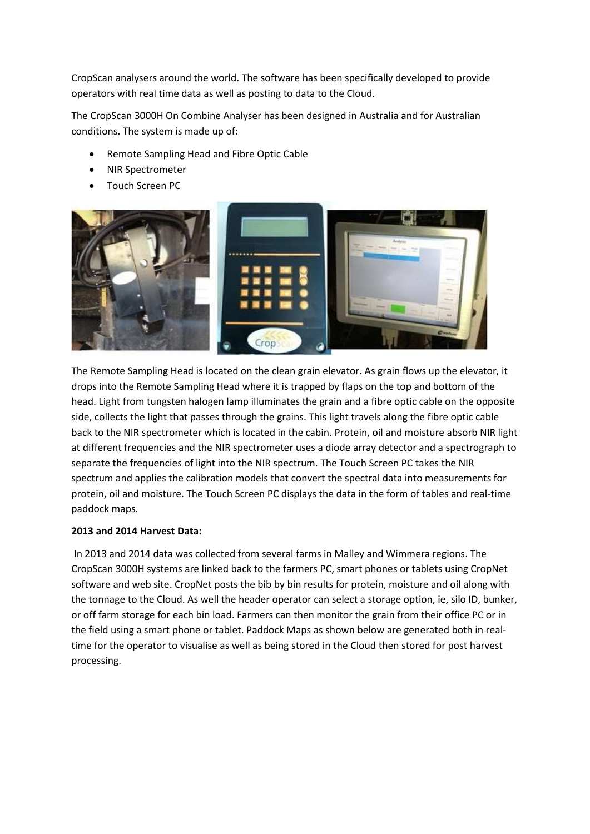CropScan analysers around the world. The software has been specifically developed to provide operators with real time data as well as posting to data to the Cloud.

The CropScan 3000H On Combine Analyser has been designed in Australia and for Australian conditions. The system is made up of:

- Remote Sampling Head and Fibre Optic Cable
- NIR Spectrometer
- Touch Screen PC



The Remote Sampling Head is located on the clean grain elevator. As grain flows up the elevator, it drops into the Remote Sampling Head where it is trapped by flaps on the top and bottom of the head. Light from tungsten halogen lamp illuminates the grain and a fibre optic cable on the opposite side, collects the light that passes through the grains. This light travels along the fibre optic cable back to the NIR spectrometer which is located in the cabin. Protein, oil and moisture absorb NIR light at different frequencies and the NIR spectrometer uses a diode array detector and a spectrograph to separate the frequencies of light into the NIR spectrum. The Touch Screen PC takes the NIR spectrum and applies the calibration models that convert the spectral data into measurements for protein, oil and moisture. The Touch Screen PC displays the data in the form of tables and real-time paddock maps.

## **2013 and 2014 Harvest Data:**

In 2013 and 2014 data was collected from several farms in Malley and Wimmera regions. The CropScan 3000H systems are linked back to the farmers PC, smart phones or tablets using CropNet software and web site. CropNet posts the bib by bin results for protein, moisture and oil along with the tonnage to the Cloud. As well the header operator can select a storage option, ie, silo ID, bunker, or off farm storage for each bin load. Farmers can then monitor the grain from their office PC or in the field using a smart phone or tablet. Paddock Maps as shown below are generated both in realtime for the operator to visualise as well as being stored in the Cloud then stored for post harvest processing.